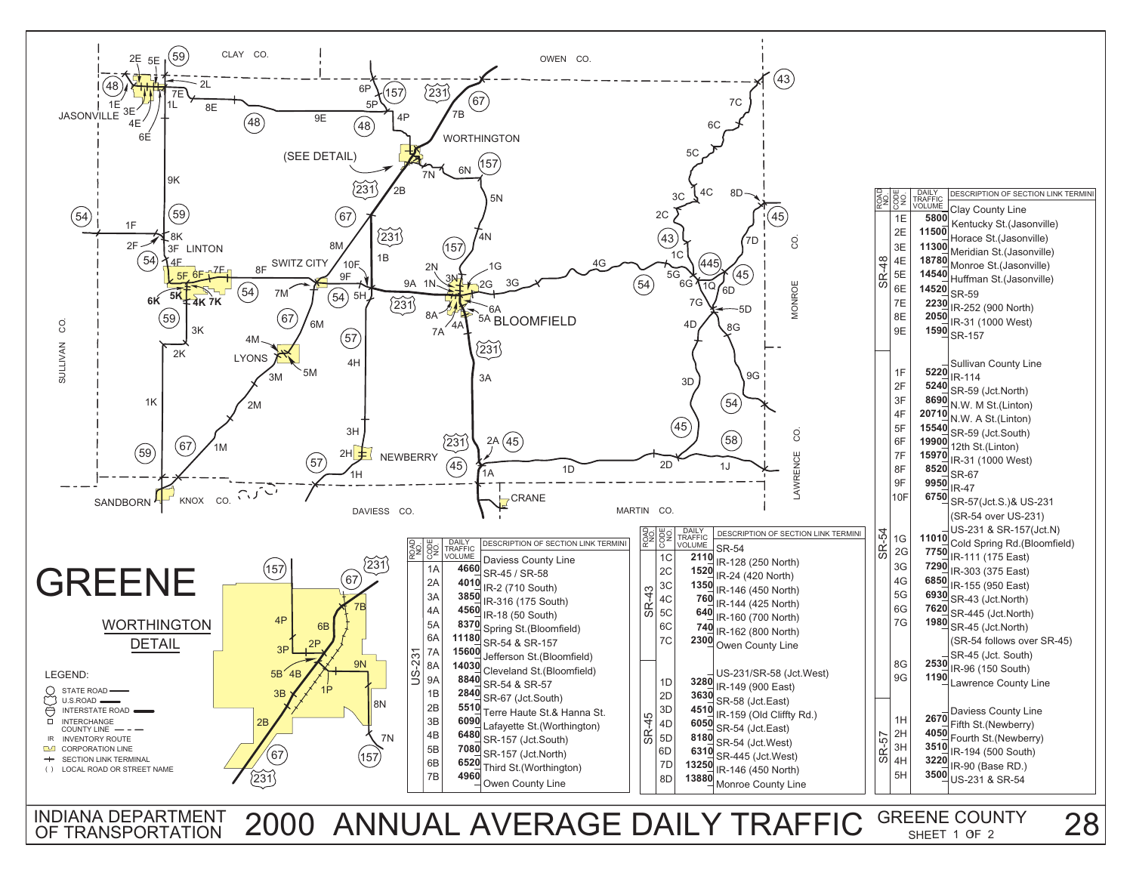

INDIANA DEPARTMENT 2000 ANNUAL AVERAGE DAILY TRAFFIC <sup>GREENE COUNTY</sup> 28

SHEET 1 OF 2